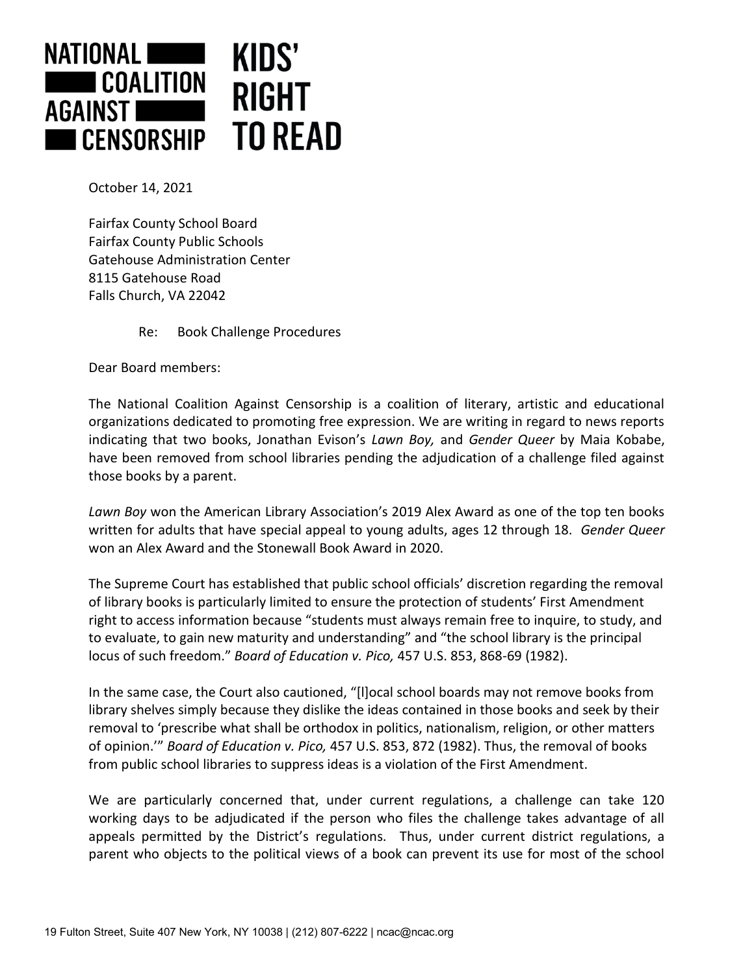

October 14, 2021

Fairfax County School Board Fairfax County Public Schools Gatehouse Administration Center 8115 Gatehouse Road Falls Church, VA 22042

Re: Book Challenge Procedures

Dear Board members:

The National Coalition Against Censorship is a coalition of literary, artistic and educational organizations dedicated to promoting free expression. We are writing in regard to news reports indicating that two books, Jonathan Evison's *Lawn Boy,* and *Gender Queer* by Maia Kobabe, have been removed from school libraries pending the adjudication of a challenge filed against those books by a parent.

*Lawn Boy* won the American Library Association's 2019 Alex Award as one of the top ten books written for adults that have special appeal to young adults, ages 12 through 18. *Gender Queer*  won an Alex Award and the Stonewall Book Award in 2020.

The Supreme Court has established that public school officials' discretion regarding the removal of library books is particularly limited to ensure the protection of students' First Amendment right to access information because "students must always remain free to inquire, to study, and to evaluate, to gain new maturity and understanding" and "the school library is the principal locus of such freedom." *Board of Education v. Pico,* 457 U.S. 853, 868-69 (1982).

In the same case, the Court also cautioned, "[l]ocal school boards may not remove books from library shelves simply because they dislike the ideas contained in those books and seek by their removal to 'prescribe what shall be orthodox in politics, nationalism, religion, or other matters of opinion.'" *Board of Education v. Pico,* 457 U.S. 853, 872 (1982). Thus, the removal of books from public school libraries to suppress ideas is a violation of the First Amendment.

We are particularly concerned that, under current regulations, a challenge can take 120 working days to be adjudicated if the person who files the challenge takes advantage of all appeals permitted by the District's regulations. Thus, under current district regulations, a parent who objects to the political views of a book can prevent its use for most of the school